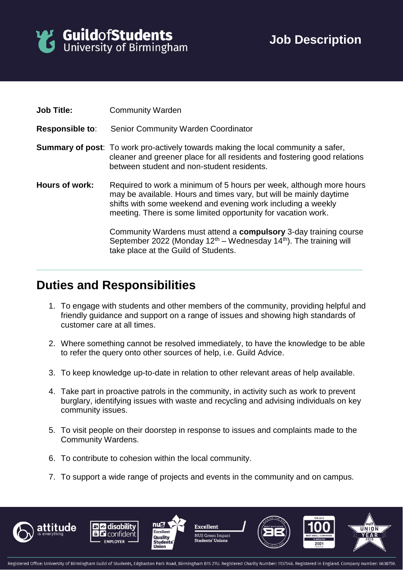

| <b>Job Title:</b>      | <b>Community Warden</b>                                                                                                                                                                                                                                                    |
|------------------------|----------------------------------------------------------------------------------------------------------------------------------------------------------------------------------------------------------------------------------------------------------------------------|
| <b>Responsible to:</b> | <b>Senior Community Warden Coordinator</b>                                                                                                                                                                                                                                 |
|                        | <b>Summary of post:</b> To work pro-actively towards making the local community a safer,<br>cleaner and greener place for all residents and fostering good relations<br>between student and non-student residents.                                                         |
| Hours of work:         | Required to work a minimum of 5 hours per week, although more hours<br>may be available. Hours and times vary, but will be mainly daytime<br>shifts with some weekend and evening work including a weekly<br>meeting. There is some limited opportunity for vacation work. |
|                        | Community Wardens must attend a compulsory 3-day training course<br>September 2022 (Monday $12th$ – Wednesday $14th$ ). The training will<br>take place at the Guild of Students.                                                                                          |

## **Duties and Responsibilities**

- 1. To engage with students and other members of the community, providing helpful and friendly guidance and support on a range of issues and showing high standards of customer care at all times.
- 2. Where something cannot be resolved immediately, to have the knowledge to be able to refer the query onto other sources of help, i.e. Guild Advice.
- 3. To keep knowledge up-to-date in relation to other relevant areas of help available.
- 4. Take part in proactive patrols in the community, in activity such as work to prevent burglary, identifying issues with waste and recycling and advising individuals on key community issues.
- 5. To visit people on their doorstep in response to issues and complaints made to the Community Wardens.
- 6. To contribute to cohesion within the local community.
- 7. To support a wide range of projects and events in the community and on campus.









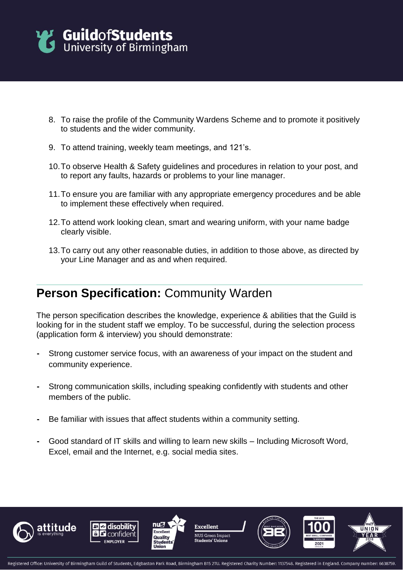

- 8. To raise the profile of the Community Wardens Scheme and to promote it positively to students and the wider community.
- 9. To attend training, weekly team meetings, and 121's.
- 10.To observe Health & Safety guidelines and procedures in relation to your post, and to report any faults, hazards or problems to your line manager.
- 11.To ensure you are familiar with any appropriate emergency procedures and be able to implement these effectively when required.
- 12.To attend work looking clean, smart and wearing uniform, with your name badge clearly visible.
- 13.To carry out any other reasonable duties, in addition to those above, as directed by your Line Manager and as and when required.

## **Person Specification: Community Warden**

The person specification describes the knowledge, experience & abilities that the Guild is looking for in the student staff we employ. To be successful, during the selection process (application form & interview) you should demonstrate:

- **-** Strong customer service focus, with an awareness of your impact on the student and community experience.
- **-** Strong communication skills, including speaking confidently with students and other members of the public.
- **-** Be familiar with issues that affect students within a community setting.
- **-** Good standard of IT skills and willing to learn new skills Including Microsoft Word, Excel, email and the Internet, e.g. social media sites.